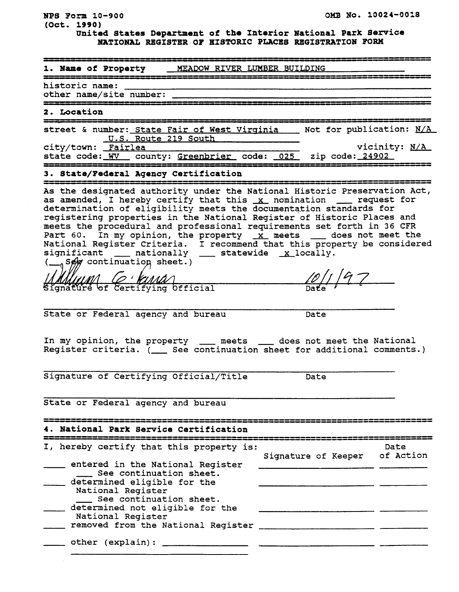**NP8 Fom 10-300 om No. 10024-00:8 (Oct. 1990) United States Department of the Interior National Park Service NATIONAL REGISTER OF HISTORIC PLACBS REGISTRATION FORM 1. Name of Property** MEADOW RIVER LUMBER BUILDING ====================== historic name: other name/site number:<br>========================== --------------------------**2. Location**  <u> 2012 - 10 10 10 10 10 10 10 10 10 10</u> street & number: State Fair of West Virginia Mot for publication: N/A U.S. Route **219** South city/town: Fairlea vicinity: N/A state code: **WV** county: Greenbrier code: **025** zip code: **<sup>24902</sup>**- - - - - - - - - 3. State/Federal Agency Certification As the designated authority under the National Historic Preservation Act, As amended, I hereby certify that this <u>X</u> nomination <u>-</u> request for determination of eligibility meets the documentation standards for registering properties in the National Register of Historic Places and meets the proc as amended, I hereby certify that this  $x$  nomination  $\cdots$  request for determination of eligibility meets the documentation standards for determination of eligibility meets the documentation stategistering properties in the National Register of Histomeets the procedural and professional requirements set frant 60. In my opinion, the property  $\frac{x}{m}$  meets do registering properties in the National Register of Historic Places and meets the procedural and professional requirements set forth in 36 CFR Part 60. In my opinion, the property  $\underline{x}$  meets  $\underline{y}$  does not meet the  $\begin{tabular}{lcccccc} \texttt{State or Federal agency and bureau} & \texttt{Date} & \texttt{Date} & \texttt{Value} & \texttt{Date} & \texttt{Value} & \texttt{Value} & \texttt{Value} & \texttt{Value} & \texttt{Value} & \texttt{Value} & \texttt{Value} & \texttt{Value} & \texttt{Value} & \texttt{Value} & \texttt{Value} & \texttt{Value} & \texttt{Value} & \texttt{Value} & \texttt{Value} & \texttt{Value} & \texttt{Value} & \texttt{Value} & \texttt{Value} & \texttt{Value} & \texttt{Value} & \texttt{Value} & \texttt{Value} & \texttt{Value} & \texttt$ State or Federal agency and bureau Date Signature of Certifying Official/Title Date State or Federal agency and bureau - - ---------------------------- **4. National Park Service Certification**  IGNAL PATK SETVICE CETTITICA<br>--------------------------------<br>eby certify that this proper<br>ntered in the National Regis<br>-- See continuation sheet.<br>etermined eligible for the I, hereby certify that this property is: Date Signature of Keeper of Action ntered in the National Regis<br>
- See continuation sheet.<br>
etermined eligible for the<br>
National Register<br>
- See continuation sheet.<br>
etermined not eligible for t entered in the National Register determined eligible for the National Register<br>\_\_\_\_ See continuation sheet. determined not eligible for the National Register **EXECUTE:** removed from the National Register **EXECUTE:** THE MANUS \_\_\_\_\_ other (explain): \_\_\_\_\_\_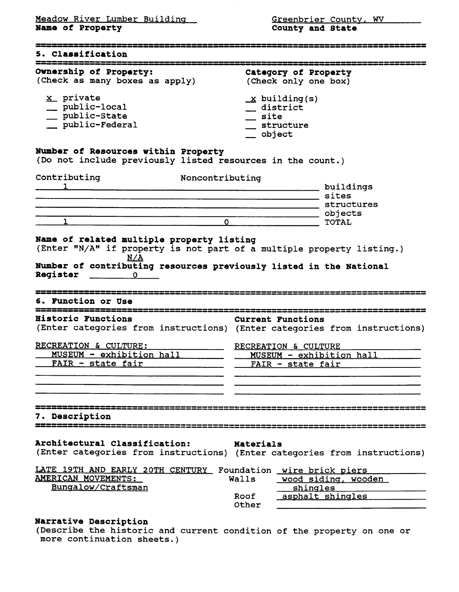Meadow River Lumber Buildins **Name of Property** 

Greenbrier County, WV **County and State** 

| <u>Meadow River Lumber Building</u>                                                               | <u>Greenbrier County, WV</u>                                                           |  |  |  |
|---------------------------------------------------------------------------------------------------|----------------------------------------------------------------------------------------|--|--|--|
| Name of Property                                                                                  | County and State                                                                       |  |  |  |
| 22#22322332222####### <del>#####</del> ####<br>5. Classification                                  |                                                                                        |  |  |  |
| <u>1322 1332 1333 1345 1356 1357 1358 1359 135</u>                                                |                                                                                        |  |  |  |
| Ownership of Property:                                                                            | Category of Property                                                                   |  |  |  |
| (Check as many boxes as apply)                                                                    | (Check only one box)                                                                   |  |  |  |
| x private                                                                                         | $\underline{x}$ building(s)                                                            |  |  |  |
| $\equiv$ public-local                                                                             | __ district                                                                            |  |  |  |
| _ public-State                                                                                    | site                                                                                   |  |  |  |
| __ public-Federal                                                                                 | _ structure                                                                            |  |  |  |
|                                                                                                   | _ object                                                                               |  |  |  |
| Number of Resources within Property<br>(Do not include previously listed resources in the count.) |                                                                                        |  |  |  |
| Contributing<br>Noncontributing                                                                   |                                                                                        |  |  |  |
| $\overline{\mathbf{1}}$ $\overline{\mathbf{1}}$                                                   | buildings                                                                              |  |  |  |
|                                                                                                   |                                                                                        |  |  |  |
|                                                                                                   | _ objects                                                                              |  |  |  |
| $\overline{\text{O}}$                                                                             | TOTAL                                                                                  |  |  |  |
|                                                                                                   |                                                                                        |  |  |  |
| 6. Function or Use                                                                                | FIRRHHVVUURTIONSUUSSE SEESSE SUURUUSSU SEESSU SUURUUSSU SUURUUSSE SEESSU SUURUUSSU S   |  |  |  |
| <b>Historic Functions</b>                                                                         | Current Functions                                                                      |  |  |  |
|                                                                                                   | (Enter categories from instructions) (Enter categories from instructions)              |  |  |  |
| RECREATION & CULTURE:                                                                             | RECREATION & CULTURE                                                                   |  |  |  |
| MUSEUM - exhibition hall                                                                          | MUSEUM - exhibition hall                                                               |  |  |  |
| FAIR - state fair                                                                                 | FAIR - state fair                                                                      |  |  |  |
|                                                                                                   |                                                                                        |  |  |  |
|                                                                                                   |                                                                                        |  |  |  |
| 7. Description                                                                                    |                                                                                        |  |  |  |
| -----------------------                                                                           |                                                                                        |  |  |  |
|                                                                                                   |                                                                                        |  |  |  |
| Architectural Classification:                                                                     | Materials<br>(Enter categories from instructions) (Enter categories from instructions) |  |  |  |
| LATE 19TH AND EARLY 20TH CENTURY Foundation wire brick piers                                      |                                                                                        |  |  |  |
| <b>AMERICAN MOVEMENTS:</b>                                                                        | wood siding, wooden<br>Walls                                                           |  |  |  |
| Bungalow/Craftsman                                                                                | shingles                                                                               |  |  |  |
|                                                                                                   | asphalt shingles<br>Roof                                                               |  |  |  |
|                                                                                                   | Other                                                                                  |  |  |  |
|                                                                                                   |                                                                                        |  |  |  |
| Narrative Description                                                                             |                                                                                        |  |  |  |

(Describe the historic and current condition of the property on one or more continuation sheets.)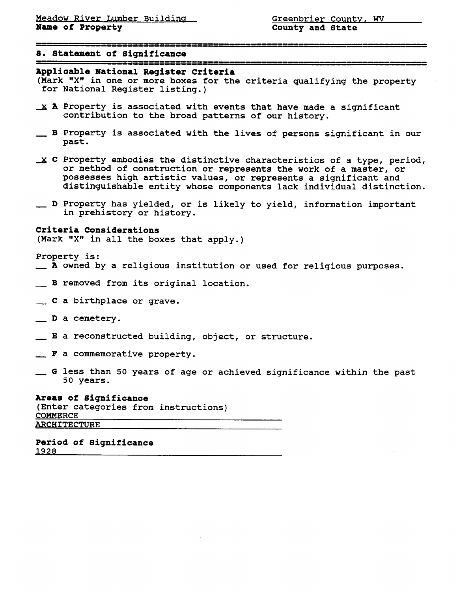# **8. Statement of Significance**

# **Applicable National Register Criteria**

**(Mark "X" in one or more boxes for the criteria qualifying the property for National Register listing.)** 

- **x A Property is associated with events that have made a significant contribution to the broad patterns of our history.**
- **B** Property is associated with the lives of persons significant in our **past.**
- **x C Property embodies the distinctive characteristics of a type, period, or method of construction or represents the work of a master, or possesses high artistic values, or represents a significant and distinguishable entity whose components lack individual distinction.**
- **D Property has yielded, or is likely to yield, information important in prehistory or history.**

## **Criteria Considerations**

(Mark "X" in all the boxes that apply.)

**Property is:** 

- (Mark "X" in all the boxes that apply.)<br>Property is:<br>\_\_ **A** owned by a religious institution or used for religious purposes. Property is:<br>\_\_ **A** owned by a religious institution or<br>\_\_ **B** removed from its original location.
- **E C** a birthplace or grave.<br> **C** a birthplace or grave.
- 
- **D a cemetery.**
- **E a reconstructed building, object, or structure.**
- **F a commemorative property.**
- **G less than 50 years of age or achieved significance within the past 50 years.**

**Areas of Significance (Enter categories from instructions) COMMERCE ARCHITECTURE** 

**period of significance** <u> 1928 </u>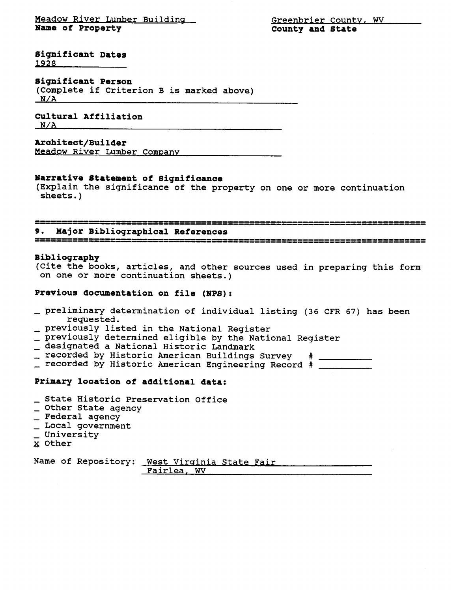Meadow River Lumber Building **Name of Property** 

Greenbrier Countv. WV **County and State** 

**Significant Dates 1928** 

# **Significant Person**

(Complete if Criterion B is marked above) **N/A** 

# **Cultural Affiliation**

# **Architect/Builder**

Meadow River Lumber Company

### **Narrative Statement of Bignificance**

(Explain the significance of the property on one or more continuation sheets. )

9. Major Bibliographical References

========== -----------------

#### **Bibliography**

(Cite the books, articles, and other sources used in preparing this form on one or more continuation sheets.)

# **Previous documentation on file (NPS):**

- preliminary determination of individual listing (36 CFR 67) has been requested.
- previously listed in the National Register
- previously determined eligible by the National Register
- designated a National Historic Landmark
- recorded by Historic American Buildings Survey - recorded by Historic American Engineering Record #

**Primary location of additional data:** 

- State Historic Preservation Office
- \_ Other State agency
- \_ Federal agency
- <sub>-</sub> Federal agency<br><sub>-</sub> Local government<br>- University \_ Local govern<br>\_ University<br>. <sup>otbor</sup>
- University<br>**x** Other
- 

Name of Repository: West Virginia State Fair Fairlea, WV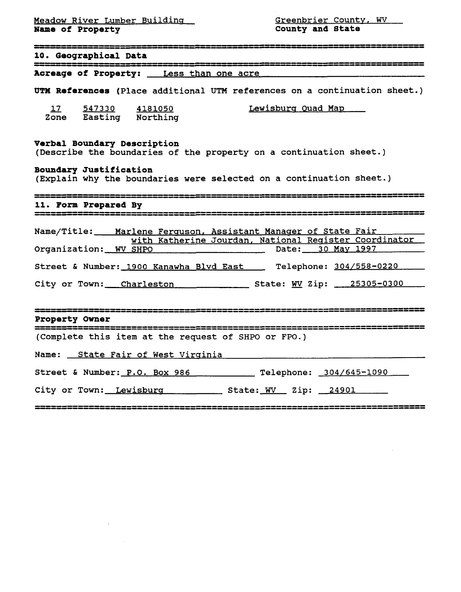$\label{eq:2.1} \mathcal{L}(\mathcal{L}(\mathcal{L})) = \mathcal{L}(\mathcal{L}(\mathcal{L}))$ 

 $\sim 10^{-10}$ 

| Meadow River Lumber Building<br>Name of Property |                        |                                                       | Greenbrier County, WV<br>County and State                                                                     |  |  |  |  |
|--------------------------------------------------|------------------------|-------------------------------------------------------|---------------------------------------------------------------------------------------------------------------|--|--|--|--|
|                                                  | 10. Geographical Data  |                                                       |                                                                                                               |  |  |  |  |
|                                                  |                        | Acreage of Property: Less than one acre               |                                                                                                               |  |  |  |  |
|                                                  |                        |                                                       | UTM References (Place additional UTM references on a continuation sheet.)                                     |  |  |  |  |
|                                                  | 17 547330 4181050      | Zone Easting Northing                                 | Lewisburg Quad Map                                                                                            |  |  |  |  |
|                                                  |                        | Verbal Boundary Description                           | (Describe the boundaries of the property on a continuation sheet.)                                            |  |  |  |  |
|                                                  | Boundary Justification |                                                       | (Explain why the boundaries were selected on a continuation sheet.)                                           |  |  |  |  |
|                                                  | 11. Form Prepared By   |                                                       |                                                                                                               |  |  |  |  |
|                                                  |                        | with Katherine Jourdan, National Register Coordinator | Name/Title: Marlene Ferquson, Assistant Manager of State Fair                                                 |  |  |  |  |
|                                                  |                        |                                                       |                                                                                                               |  |  |  |  |
|                                                  |                        | Organization: WV SHPO<br>SHPO                         | Date: 30 May 1997                                                                                             |  |  |  |  |
|                                                  |                        |                                                       | Street & Number: 1900 Kanawha Blvd East __ Telephone: 304/558-0220                                            |  |  |  |  |
| <b>Property Owner</b>                            |                        |                                                       |                                                                                                               |  |  |  |  |
|                                                  |                        |                                                       | (Complete this item at the request of SHPO or FPO.)                                                           |  |  |  |  |
|                                                  |                        |                                                       | Name: State Fair of West Virginia Manuson Communications of New York Chamber and New York Chamber and State T |  |  |  |  |
|                                                  |                        |                                                       | Street & Number: P.O. Box 986 Telephone: 304/645-1090                                                         |  |  |  |  |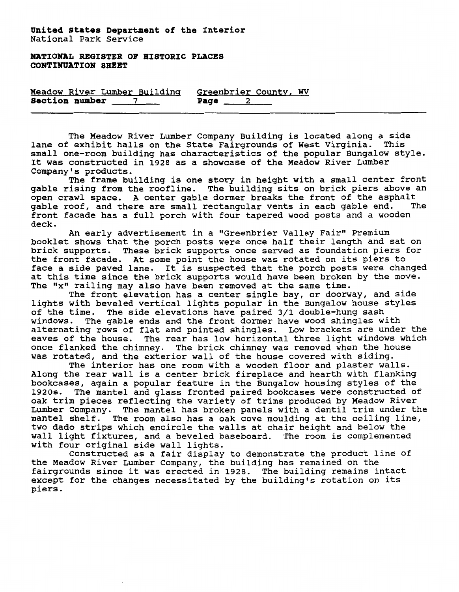**NATIONAL REGISTER OF HISTORIC PLACES CONTINUATION SHEZT** 

|                       |  | Meadow River Lumber Building |        | Greenbrier County, WV |  |
|-----------------------|--|------------------------------|--------|-----------------------|--|
| <b>Section number</b> |  |                              | Page 2 |                       |  |

The Meadow River Lumber Company Building is located along a side<br>exhibit halls on the State Fairgrounds of West Virginia. This lane of exhibit halls on the State Fairgrounds of West Virginia. small one-room building has characteristics of the popular Bungalow style. It was constructed in 1928 as a showcase of the Meadow River Lumber Company's products.

The frame building is one story in height with a small center front gable rising from the roofline. The building sits on brick piers above an open crawl space. A center gable dormer breaks the front of the asphalt<br>gable roof, and there are small rectangular vents in each gable end. The gable roof, and there are small rectangular vents in each gable end. front facade has a full porch with four tapered wood posts and a wooden deck.

An early advertisement in a "Greenbrier Valley Fair" Premium booklet shows that the porch posts were once half their length and sat on brick supports. These brick supports once served as foundation piers for the front facade. At some point the house was rotated on its piers to face a side paved lane. It is suspected that the porch posts were changed at this time since the brick supports would have been broken by the move. The "x" railing may also have been removed at the same time.

The front elevation has a center single bay, or doorway, and side lights with beveled vertical lights popular in the Bungalow house styles of the time. The side elevations have paired 3/1 double-hung sash windows. The gable ends and the front dormer have wood shingles with alternating rows of flat and pointed shingles. Low brackets are under the eaves of the house. The rear has low horizontal three light windows which once flanked the chimney. The brick chimney was removed when the house was rotated, and the exterior wall of the house covered with siding.

The interior has one room with a wooden floor and plaster walls. Along the rear wall is a center brick fireplace and hearth with flanking bookcases, again a popular feature in the Bungalow housing styles of the 1920s. The mantel and glass fronted paired bookcases were constructed of oak trim pieces reflecting the variety of trims produced by Meadow River Lumber Company. The mantel has broken panels with a dentil trim under the mantel shelf. The room also has a oak cove moulding at the ceiling line, two dado strips which encircle the walls at chair height and below the wall light fixtures, and a beveled baseboard. The room is complemented with four original side wall lights.

Constructed as a fair display to demonstrate the product line of the Meadow River Lumber Company, the building has remained on the fairgrounds since it was erected in 1928. The building remains intact except for the changes necessitated by the building's rotation on its piers.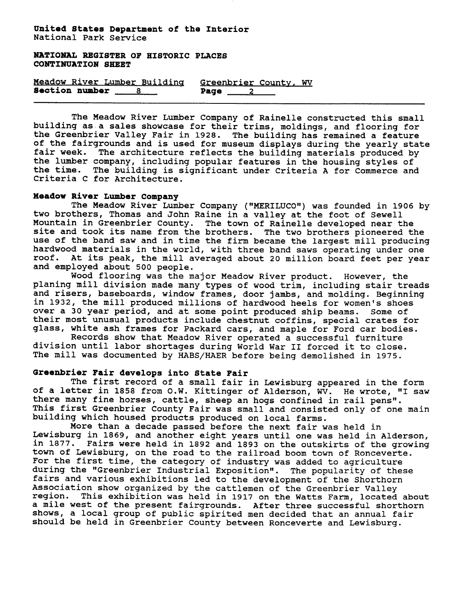**NATIONAL REGISTER OF HISTORIC PLACES CONTINUATION SHEET** 

|                       |  | Meadow River Lumber Building |      | Greenbrier County, WV |  |
|-----------------------|--|------------------------------|------|-----------------------|--|
| <b>Section number</b> |  |                              | Page |                       |  |

The Meadow River Lumber Company of Rainelle constructed this small building as.a sales showcase for their trims, moldings, and flooring for the Greenbrier Valley Fair in 1928. The building has remained a feature of the fairgrounds and is used for museum displays during the yearly state<br>fair week. The architecture reflects the building materials produced by The architecture reflects the building materials produced by the lumber company, including popular features in the housing styles of the time. The building is significant under Criteria A for Commerce and Criteria C for Architecture.

# **Meadow River Lumber Company**

The Meadow River Lumber Company ("MERILUCO") was founded in 1906 by two brothers, Thomas and John Raine in a valley at the foot of Sewell Mountain in Greenbrier County. The town of Rainelle developed near the site and took its name from the brothers. The two brothers pioneered the use of the band saw and in time the firm became the largest mill producing hardwood materials in the world, with three band saws operating under one<br>roof. At its peak, the mill averaged about 20 million board feet per year At its peak, the mill averaged about 20 million board feet per year and employed about 500 people.

Wood flooring was the major Meadow River product. However, the planing mill division made many types of wood trim, including stair treads and risers, baseboards, window frames, door jambs, and molding. Beginning in 1932, the mill produced millions of hardwood heels for women's shoes over a 30 year period, and at some point produced ship beams. Some of their most unusual products include chestnut coffins, special crates for glass, white ash frames for Packard cars, and maple for Ford car bodies.

Records show that Meadow River operated a successful furniture division until labor shortages during World War I1 forced it to close. The mill was documented by **HABS/HAER** before being demolished in 1975.

### **Greenbrier Fair develops into State Fair**

The first record of a small fair in Lewisburg appeared in the form of a letter in 1858 from O.W. Kittinger of Alderson, **WV.** He wrote, "I saw there many fine horses, cattle, sheep an hogs confined in rail pens". This first Greenbrier County Fair was small and consisted only of one main building which housed products produced on local farms.

More than a decade passed before the next fair was held in Lewisburg in 1869, and another eight years until one was held in Alderson, in 1877. Fairs were held in 1892 and 1893 on the outskirts of the growing town of Lewisburg, on the road to the railroad boom town of Ronceverte. For the first time, the category of industry was added to agriculture during the "Greenbrier Industrial Exposition". The popularity of these fairs and various exhibitions led to the development of the Shorthorn Association show organized by the cattlemen of the Greenbrier Valley region. This exhibition was held in 1917 on the Watts Farm, located about a mile west of the present fairgrounds. After three successful shorthorn shows, a local group of public spirited men decided that an annual fair should be held in Greenbrier County between Ronceverte and Lewisburg.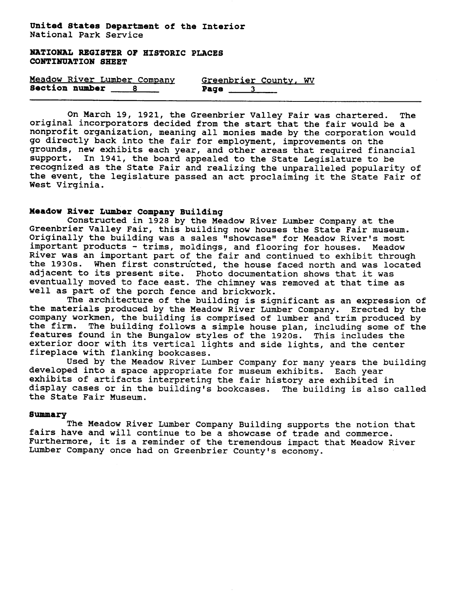**NATIONAL REGISTER OF HISTORIC PLACES CONTINUATION SHEET** 

|                       |  | Meadow River Lumber Company |      | Greenbrier County, WV |  |
|-----------------------|--|-----------------------------|------|-----------------------|--|
| <b>Section number</b> |  |                             | Page |                       |  |

On March 19, 1921, the Greenbrier Valley Fair was chartered. The original incorporators decided from the start that the fair would be a nonprofit organization, meaning all monies made by the corporation would go directly back into the fair for employment, improvements on the grounds, new exhibits each year, and other areas that required financial support. In 1941, the board appealed to the State Legislature to be recognized as the State Fair and realizing the unparalleled popularity of the event, the legislature passed an act proclaiming it the State Fair of West Virginia.

# **Meadow River Lumber Company Building**

Constructed in 1928 by the Meadow River Lumber Company at the Greenbrier Valley Fair, this building now houses the State Fair museum. Originally the building was a sales "showcase" for Meadow River's most important products - trims, moldings, and flooring for houses. Meadow River was an important part of the fair and continued to exhibit through the 1930s. When first constru'cted, the house faced north and was located adjacent to its present site. Photo documentation shows that it was eventually moved to face east. The chimney was removed at that time as well as part of the porch fence and brickwork.

The architecture of the building is significant as an expression of the materials produced by the Meadow River Lumber Company. Erected by the company workmen, the building is comprised of lumber and trim produced by<br>the firm. The building follows a simple house plan, including some of the The building follows a simple house plan, including some of the features found in the Bungalow styles of the 1920s. This includes the exterior door with its vertical lights and side lights, and the center fireplace with flanking bookcases.

Used by the Meadow River Lumber Company for many years the building developed into a space appropriate for museum exhibits. Each year exhibits of artifacts interpreting the fair history are exhibited in display cases or in the building's bookcases. The building is also called the State Fair Museum.

#### **Summary**

The Meadow River Lumber Company Building supports the notion that fairs have and will continue to be a showcase of trade and commerce. Furthermore, it is a reminder of the tremendous impact that Meadow River Lumber Company once had on Greenbrier County's economy.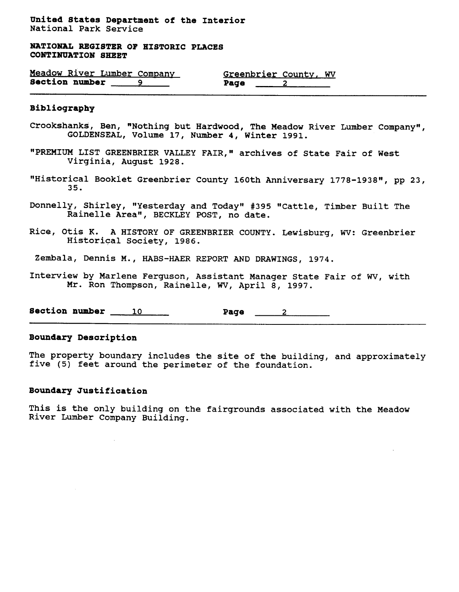**NATIONAL REGISTER OF HISTORIC PLACES CONTINUATION SHEET** 

| Meadow River Lumber Company | Greenbrier County, WV |  |
|-----------------------------|-----------------------|--|
| <b>Section number</b>       | Page                  |  |

#### **Bibliography**

- Crookshanks, Ben, "Nothing but Hardwood, The Meadow River Lumber Company", GOLDENSEAL, Volume 17, Number **4,** Winter 1991.
- 19PREMIUM LIST GREENBRIER VALLEY FAIR," archives of State Fair of West Virginia, August 1928.
- "Historical Booklet Greenbrier County 160th Anniversary 1778-1938", pp 23, **35.**
- Donnelly, Shirley, "Yesterday and Today" #395 "Cattle, Timber Built The Rainelle Area", BECKLEY POST, no date.
- Rice, Otis K. A HISTORY OF GREENBRIER COUNTY. Lewisburg, WV: Greenbrier Historical Society, 1986.

Zembala, Dennis M., HABS-HAER REPORT AND DRAWINGS, 1974.

Interview by Marlene Ferguson, Assistant Manager State Fair of WV, with Mr. Ron Thompson, Rainelle, WV, April 8, 1997.

**Section number** 10 **Page 2** 

### **Boundary Description**

The property boundary includes the site of the building, and approximately five **(5)** feet around the perimeter of the foundation.

# **Boundary Justification**

This is the only building on the fairgrounds associated with the Meadow River Lumber Company Building.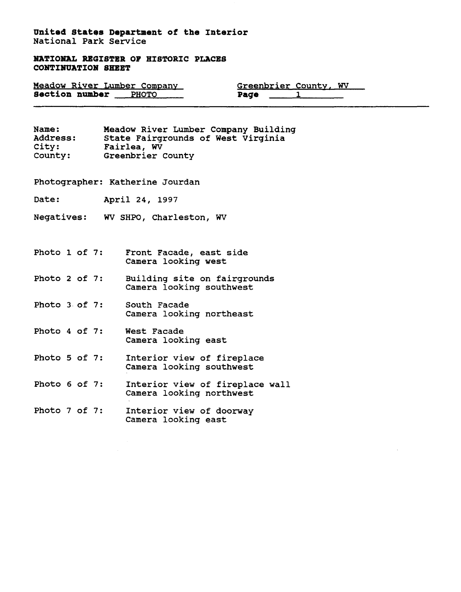**MATIOMAL REGISTER OF HISTORIC PLACES CONTI#1IIATION SHEET** 

| Meadow River Lumber Company |              | Greenbrier County, WV |  |
|-----------------------------|--------------|-----------------------|--|
| <b>Section number</b>       | <b>PHOTO</b> | Page                  |  |

**Name** : **Meadow River Lumber Company Building Address** : **State Fairgrounds of West Virginia**  City: Fairlea, WV<br>County: Greenbrier **County** : **Greenbrier County** 

**Photographer: Katherine Jourdan** 

**Date** : **April 24, 1997** 

- **Negatives: WV SHPO, Charleston, WV**
- **Photo 1 of 7: Front Facade, east side Camera looking west**
- **Photo 2 of 7: Building site on fairgrounds Camera looking southwest**
- **Photo 3. of 7** : **South Facade Camera looking northeast**
- **Photo 4 of 7: West Facade Camera looking east**
- **Photo 5 of 7: Interior view of fireplace Camera looking southwest**
- **Photo 6 of 7: Interior view of fireplace wall Camera looking northwest**
- **Photo 7 of 7: Interior view of doorway Camera looking east**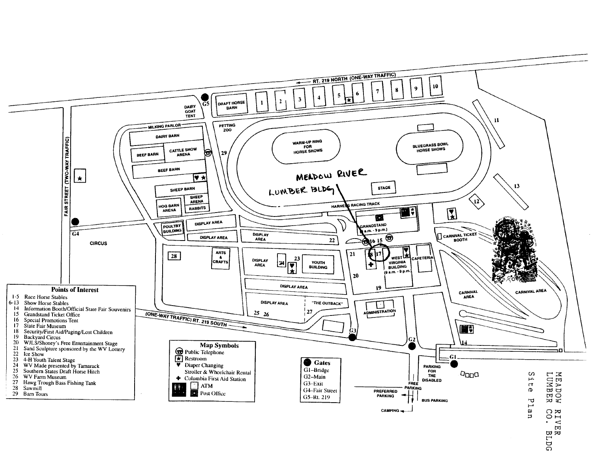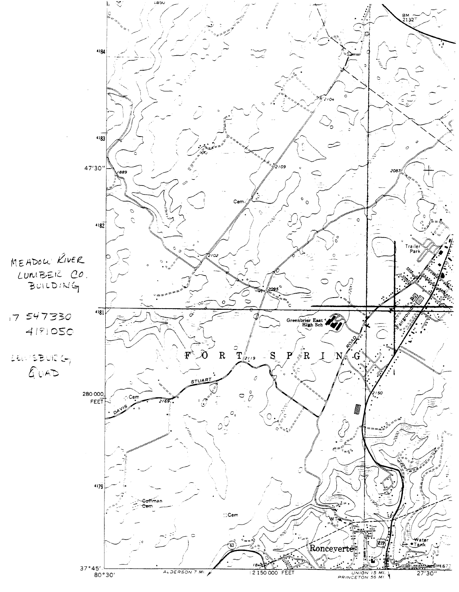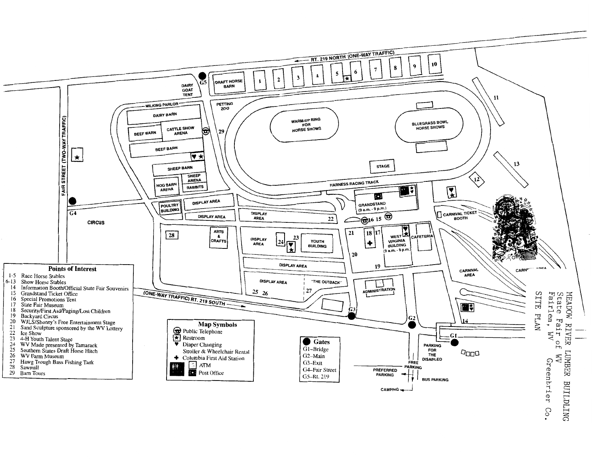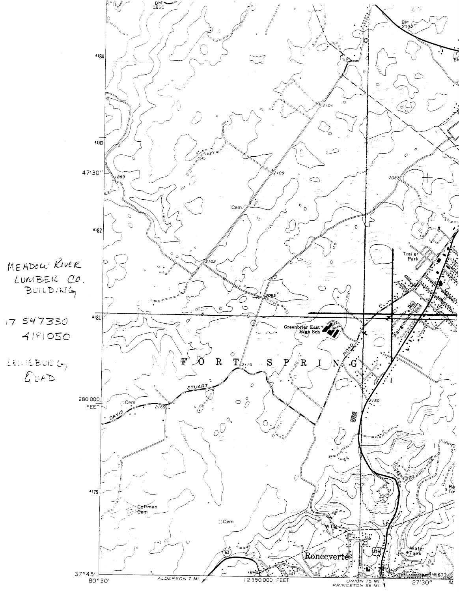